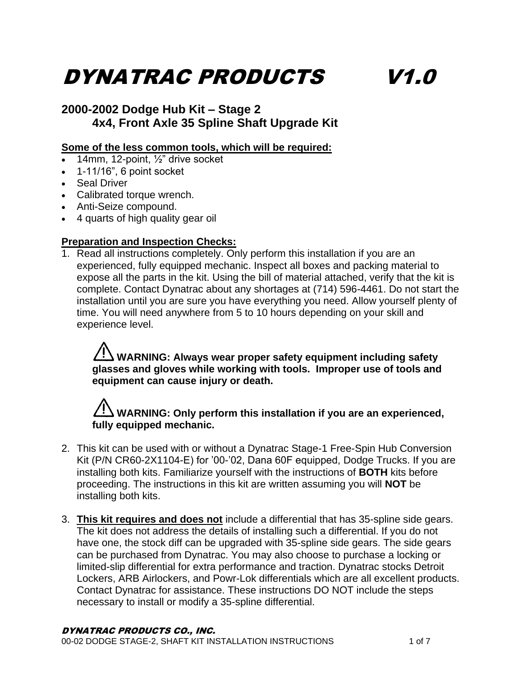# DYNATRAC PRODUCTS V1.0

### **2000-2002 Dodge Hub Kit – Stage 2 4x4, Front Axle 35 Spline Shaft Upgrade Kit**

#### **Some of the less common tools, which will be required:**

- 14mm, 12-point, ½" drive socket
- $\bullet$  1-11/16", 6 point socket
- Seal Driver
- Calibrated torque wrench.
- Anti-Seize compound.
- 4 quarts of high quality gear oil

#### **Preparation and Inspection Checks:**

1. Read all instructions completely. Only perform this installation if you are an experienced, fully equipped mechanic. Inspect all boxes and packing material to expose all the parts in the kit. Using the bill of material attached, verify that the kit is complete. Contact Dynatrac about any shortages at (714) 596-4461. Do not start the installation until you are sure you have everything you need. Allow yourself plenty of time. You will need anywhere from 5 to 10 hours depending on your skill and experience level.

### **WARNING: Always wear proper safety equipment including safety glasses and gloves while working with tools. Improper use of tools and equipment can cause injury or death.**

# **WARNING: Only perform this installation if you are an experienced, fully equipped mechanic.**

- 2. This kit can be used with or without a Dynatrac Stage-1 Free-Spin Hub Conversion Kit (P/N CR60-2X1104-E) for '00-'02, Dana 60F equipped, Dodge Trucks. If you are installing both kits. Familiarize yourself with the instructions of **BOTH** kits before proceeding. The instructions in this kit are written assuming you will **NOT** be installing both kits.
- 3. **This kit requires and does not** include a differential that has 35-spline side gears. The kit does not address the details of installing such a differential. If you do not have one, the stock diff can be upgraded with 35-spline side gears. The side gears can be purchased from Dynatrac. You may also choose to purchase a locking or limited-slip differential for extra performance and traction. Dynatrac stocks Detroit Lockers, ARB Airlockers, and Powr-Lok differentials which are all excellent products. Contact Dynatrac for assistance. These instructions DO NOT include the steps necessary to install or modify a 35-spline differential.

#### DYNATRAC PRODUCTS CO., INC.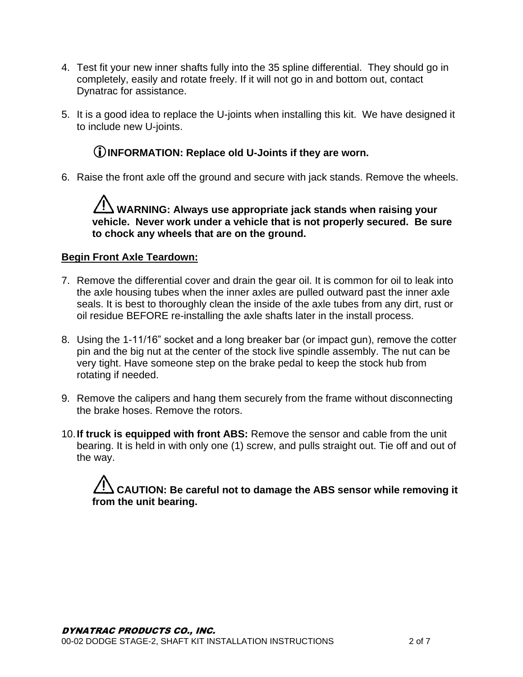- 4. Test fit your new inner shafts fully into the 35 spline differential. They should go in completely, easily and rotate freely. If it will not go in and bottom out, contact Dynatrac for assistance.
- 5. It is a good idea to replace the U-joints when installing this kit. We have designed it to include new U-joints.

### **INFORMATION: Replace old U-Joints if they are worn.**

6. Raise the front axle off the ground and secure with jack stands. Remove the wheels.

**WARNING: Always use appropriate jack stands when raising your vehicle. Never work under a vehicle that is not properly secured. Be sure to chock any wheels that are on the ground.**

#### **Begin Front Axle Teardown:**

- 7. Remove the differential cover and drain the gear oil. It is common for oil to leak into the axle housing tubes when the inner axles are pulled outward past the inner axle seals. It is best to thoroughly clean the inside of the axle tubes from any dirt, rust or oil residue BEFORE re-installing the axle shafts later in the install process.
- 8. Using the 1-11/16" socket and a long breaker bar (or impact gun), remove the cotter pin and the big nut at the center of the stock live spindle assembly. The nut can be very tight. Have someone step on the brake pedal to keep the stock hub from rotating if needed.
- 9. Remove the calipers and hang them securely from the frame without disconnecting the brake hoses. Remove the rotors.
- 10.**If truck is equipped with front ABS:** Remove the sensor and cable from the unit bearing. It is held in with only one (1) screw, and pulls straight out. Tie off and out of the way.

**CAUTION: Be careful not to damage the ABS sensor while removing it from the unit bearing.**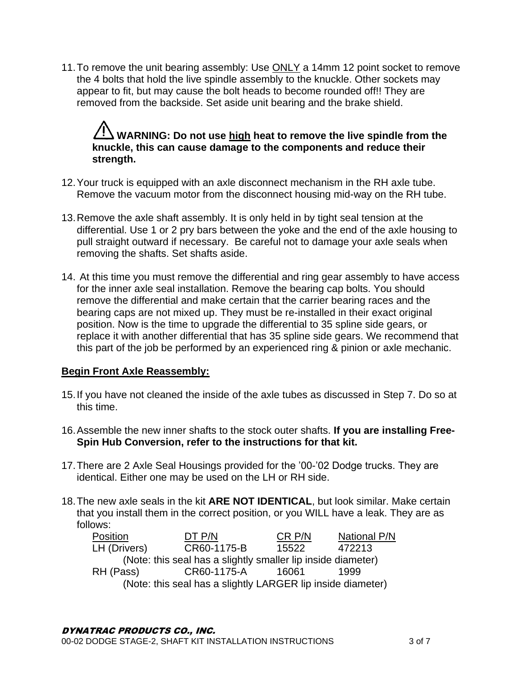11. To remove the unit bearing assembly: Use ONLY a 14mm 12 point socket to remove the 4 bolts that hold the live spindle assembly to the knuckle. Other sockets may appear to fit, but may cause the bolt heads to become rounded off!! They are removed from the backside. Set aside unit bearing and the brake shield.

## **WARNING: Do not use high heat to remove the live spindle from the knuckle, this can cause damage to the components and reduce their strength.**

- 12.Your truck is equipped with an axle disconnect mechanism in the RH axle tube. Remove the vacuum motor from the disconnect housing mid-way on the RH tube.
- 13.Remove the axle shaft assembly. It is only held in by tight seal tension at the differential. Use 1 or 2 pry bars between the yoke and the end of the axle housing to pull straight outward if necessary. Be careful not to damage your axle seals when removing the shafts. Set shafts aside.
- 14. At this time you must remove the differential and ring gear assembly to have access for the inner axle seal installation. Remove the bearing cap bolts. You should remove the differential and make certain that the carrier bearing races and the bearing caps are not mixed up. They must be re-installed in their exact original position. Now is the time to upgrade the differential to 35 spline side gears, or replace it with another differential that has 35 spline side gears. We recommend that this part of the job be performed by an experienced ring & pinion or axle mechanic.

#### **Begin Front Axle Reassembly:**

- 15.If you have not cleaned the inside of the axle tubes as discussed in Step 7. Do so at this time.
- 16.Assemble the new inner shafts to the stock outer shafts. **If you are installing Free-Spin Hub Conversion, refer to the instructions for that kit.**
- 17.There are 2 Axle Seal Housings provided for the '00-'02 Dodge trucks. They are identical. Either one may be used on the LH or RH side.
- 18.The new axle seals in the kit **ARE NOT IDENTICAL**, but look similar. Make certain that you install them in the correct position, or you WILL have a leak. They are as follows:

| Position                                                     | DT P/N      | CR P/N | National P/N |  |
|--------------------------------------------------------------|-------------|--------|--------------|--|
| LH (Drivers)                                                 | CR60-1175-B | 15522  | 472213       |  |
| (Note: this seal has a slightly smaller lip inside diameter) |             |        |              |  |
| RH (Pass)                                                    | CR60-1175-A | 16061  | 1999         |  |
| (Note: this seal has a slightly LARGER lip inside diameter)  |             |        |              |  |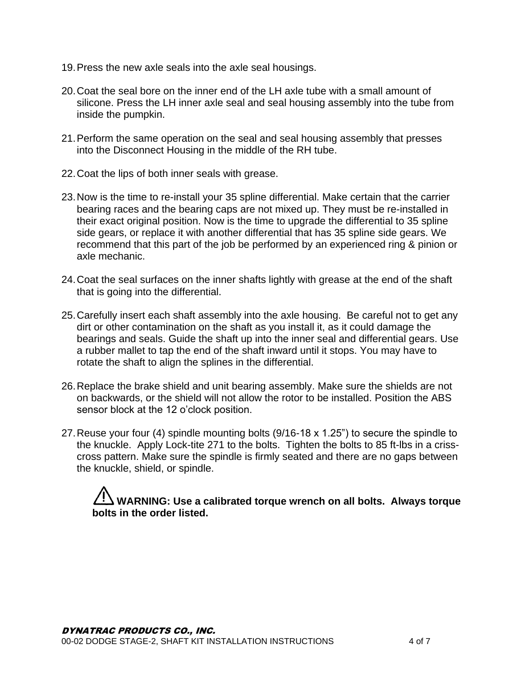- 19.Press the new axle seals into the axle seal housings.
- 20.Coat the seal bore on the inner end of the LH axle tube with a small amount of silicone. Press the LH inner axle seal and seal housing assembly into the tube from inside the pumpkin.
- 21.Perform the same operation on the seal and seal housing assembly that presses into the Disconnect Housing in the middle of the RH tube.
- 22.Coat the lips of both inner seals with grease.
- 23.Now is the time to re-install your 35 spline differential. Make certain that the carrier bearing races and the bearing caps are not mixed up. They must be re-installed in their exact original position. Now is the time to upgrade the differential to 35 spline side gears, or replace it with another differential that has 35 spline side gears. We recommend that this part of the job be performed by an experienced ring & pinion or axle mechanic.
- 24.Coat the seal surfaces on the inner shafts lightly with grease at the end of the shaft that is going into the differential.
- 25.Carefully insert each shaft assembly into the axle housing. Be careful not to get any dirt or other contamination on the shaft as you install it, as it could damage the bearings and seals. Guide the shaft up into the inner seal and differential gears. Use a rubber mallet to tap the end of the shaft inward until it stops. You may have to rotate the shaft to align the splines in the differential.
- 26.Replace the brake shield and unit bearing assembly. Make sure the shields are not on backwards, or the shield will not allow the rotor to be installed. Position the ABS sensor block at the 12 o'clock position.
- 27.Reuse your four (4) spindle mounting bolts (9/16-18 x 1.25") to secure the spindle to the knuckle. Apply Lock-tite 271 to the bolts. Tighten the bolts to 85 ft-lbs in a crisscross pattern. Make sure the spindle is firmly seated and there are no gaps between the knuckle, shield, or spindle.

# **WARNING: Use a calibrated torque wrench on all bolts. Always torque bolts in the order listed.**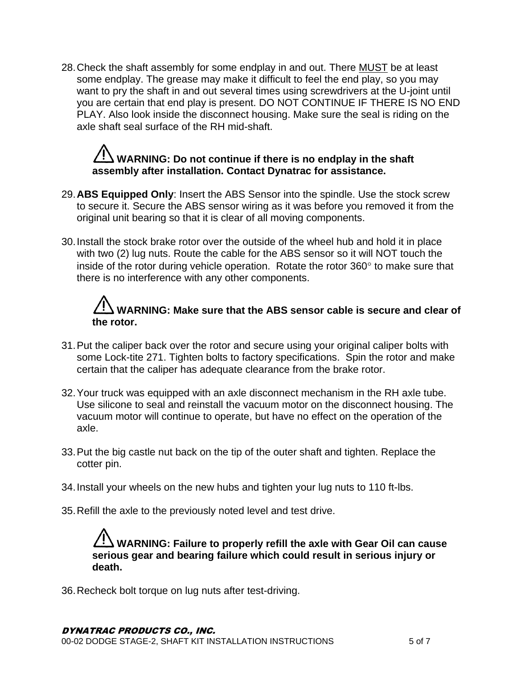28. Check the shaft assembly for some endplay in and out. There **MUST** be at least some endplay. The grease may make it difficult to feel the end play, so you may want to pry the shaft in and out several times using screwdrivers at the U-joint until you are certain that end play is present. DO NOT CONTINUE IF THERE IS NO END PLAY. Also look inside the disconnect housing. Make sure the seal is riding on the axle shaft seal surface of the RH mid-shaft.

# **WARNING: Do not continue if there is no endplay in the shaft assembly after installation. Contact Dynatrac for assistance.**

- 29.**ABS Equipped Only**: Insert the ABS Sensor into the spindle. Use the stock screw to secure it. Secure the ABS sensor wiring as it was before you removed it from the original unit bearing so that it is clear of all moving components.
- 30.Install the stock brake rotor over the outside of the wheel hub and hold it in place with two (2) lug nuts. Route the cable for the ABS sensor so it will NOT touch the inside of the rotor during vehicle operation. Rotate the rotor  $360^\circ$  to make sure that there is no interference with any other components.

# **WARNING: Make sure that the ABS sensor cable is secure and clear of the rotor.**

- 31.Put the caliper back over the rotor and secure using your original caliper bolts with some Lock-tite 271. Tighten bolts to factory specifications. Spin the rotor and make certain that the caliper has adequate clearance from the brake rotor.
- 32.Your truck was equipped with an axle disconnect mechanism in the RH axle tube. Use silicone to seal and reinstall the vacuum motor on the disconnect housing. The vacuum motor will continue to operate, but have no effect on the operation of the axle.
- 33.Put the big castle nut back on the tip of the outer shaft and tighten. Replace the cotter pin.
- 34.Install your wheels on the new hubs and tighten your lug nuts to 110 ft-lbs.
- 35.Refill the axle to the previously noted level and test drive.

**WARNING: Failure to properly refill the axle with Gear Oil can cause serious gear and bearing failure which could result in serious injury or death.**

36.Recheck bolt torque on lug nuts after test-driving.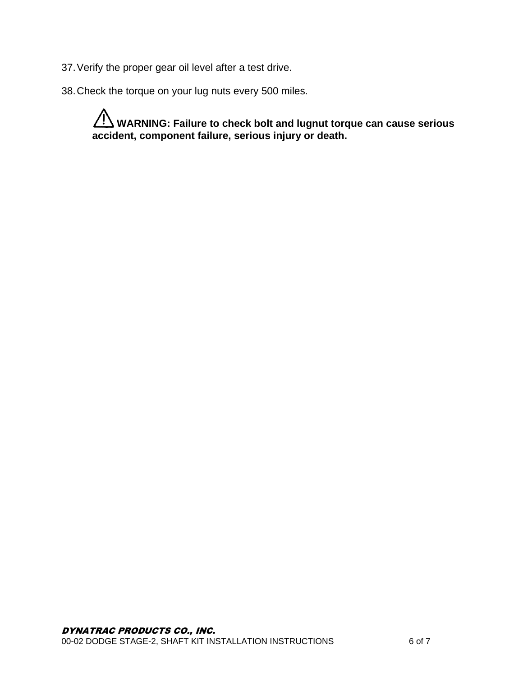- 37.Verify the proper gear oil level after a test drive.
- 38.Check the torque on your lug nuts every 500 miles.

**WARNING: Failure to check bolt and lugnut torque can cause serious accident, component failure, serious injury or death.**